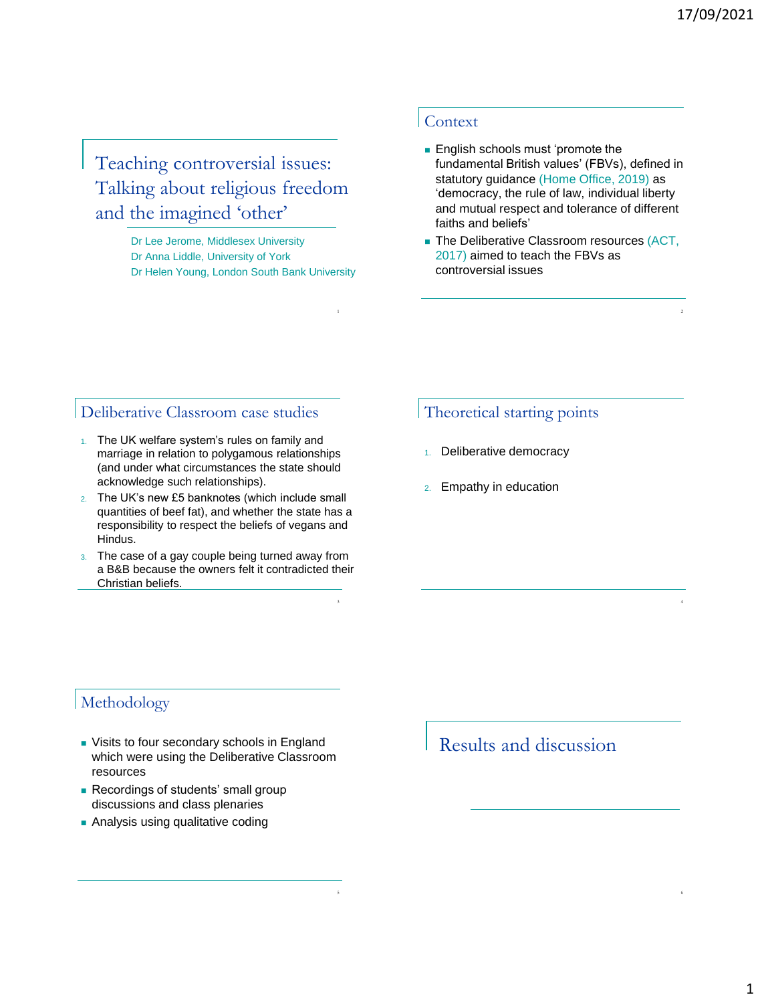2

4

6

Teaching controversial issues: Talking about religious freedom and the imagined 'other'

> Dr Lee Jerome, Middlesex University Dr Anna Liddle, University of York Dr Helen Young, London South Bank University

> > 1

3

5

#### Context

- **English schools must 'promote the** fundamental British values' (FBVs), defined in statutory guidance (Home Office, 2019) as 'democracy, the rule of law, individual liberty and mutual respect and tolerance of different faiths and beliefs'
- **The Deliberative Classroom resources (ACT,** 2017) aimed to teach the FBVs as controversial issues

### Deliberative Classroom case studies

- 1. The UK welfare system's rules on family and marriage in relation to polygamous relationships (and under what circumstances the state should acknowledge such relationships).
- 2. The UK's new £5 banknotes (which include small quantities of beef fat), and whether the state has a responsibility to respect the beliefs of vegans and Hindus.
- 3. The case of a gay couple being turned away from a B&B because the owners felt it contradicted their Christian beliefs.

### Theoretical starting points

- 1. Deliberative democracy
- 2. Empathy in education

## Methodology

- **Visits to four secondary schools in England** which were using the Deliberative Classroom resources
- Recordings of students' small group discussions and class plenaries
- **Analysis using qualitative coding**

# Results and discussion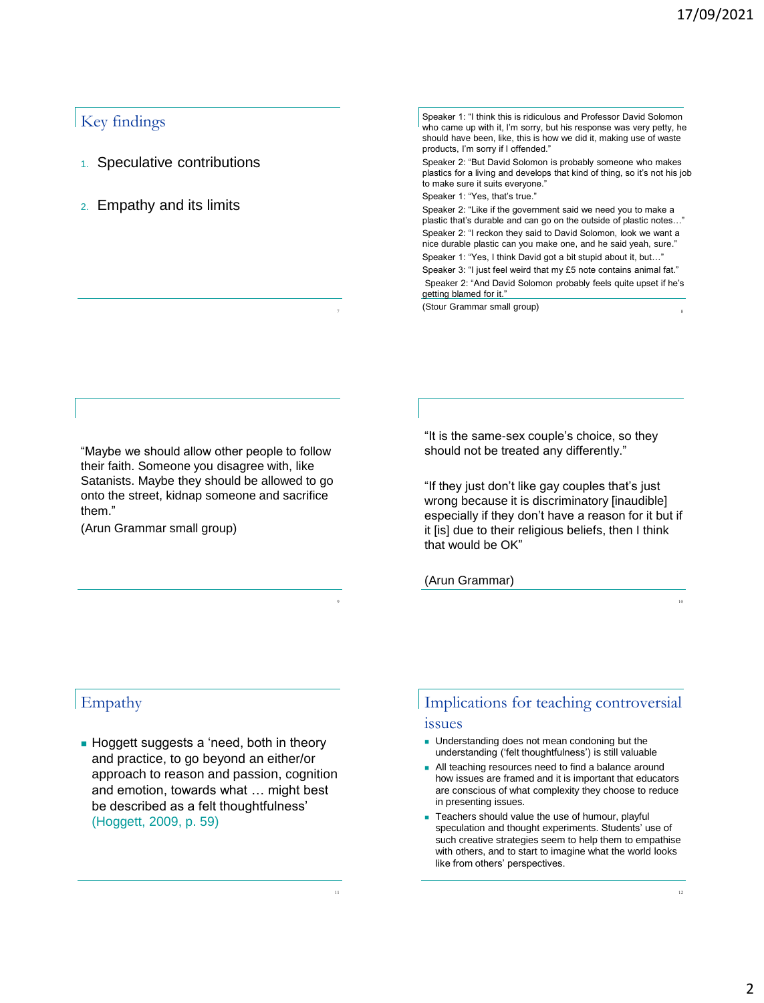### Key findings

- 1. Speculative contributions
- 2. Empathy and its limits

Speaker 1: "I think this is ridiculous and Professor David Solomon who came up with it, I'm sorry, but his response was very petty, he should have been, like, this is how we did it, making use of waste products, I'm sorry if I offended." Speaker 2: "But David Solomon is probably someone who makes plastics for a living and develops that kind of thing, so it's not his job to make sure it suits everyone." Speaker 1: "Yes, that's true." Speaker 2: "Like if the government said we need you to make a plastic that's durable and can go on the outside of plastic notes…" Speaker 2: "I reckon they said to David Solomon, look we want a nice durable plastic can you make one, and he said yeah, sure." Speaker 1: "Yes, I think David got a bit stupid about it, but…" Speaker 3: "I just feel weird that my £5 note contains animal fat." Speaker 2: "And David Solomon probably feels quite upset if he's getting blamed for it."

(Stour Grammar small group) <sup>8</sup>

"Maybe we should allow other people to follow their faith. Someone you disagree with, like Satanists. Maybe they should be allowed to go onto the street, kidnap someone and sacrifice them."

(Arun Grammar small group)

"It is the same-sex couple's choice, so they should not be treated any differently."

"If they just don't like gay couples that's just wrong because it is discriminatory [inaudible] especially if they don't have a reason for it but if it [is] due to their religious beliefs, then I think that would be OK"

10

12

(Arun Grammar)

9

11

## Empathy

Hoggett suggests a 'need, both in theory and practice, to go beyond an either/or approach to reason and passion, cognition and emotion, towards what … might best be described as a felt thoughtfulness' (Hoggett, 2009, p. 59)

## Implications for teaching controversial issues

- **Understanding does not mean condoning but the** understanding ('felt thoughtfulness') is still valuable
- All teaching resources need to find a balance around how issues are framed and it is important that educators are conscious of what complexity they choose to reduce in presenting issues.
- **Teachers should value the use of humour, playful** speculation and thought experiments. Students' use of such creative strategies seem to help them to empathise with others, and to start to imagine what the world looks like from others' perspectives.